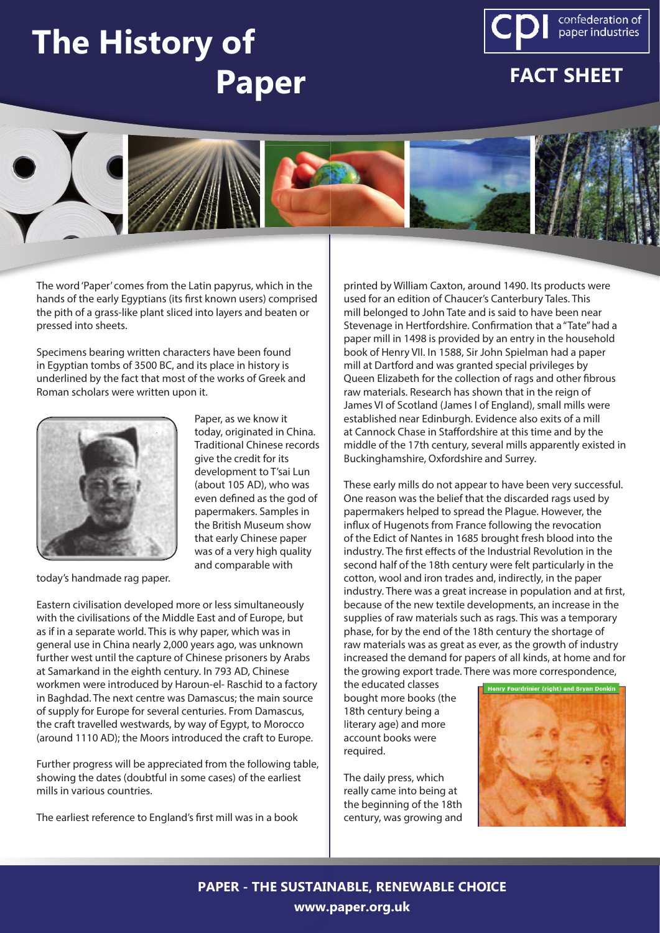## **The History of Paper**



## **FACT SHEET**



The word 'Paper' comes from the Latin papyrus, which in the hands of the early Egyptians (its first known users) comprised the pith of a grass-like plant sliced into layers and beaten or pressed into sheets.

Specimens bearing written characters have been found in Egyptian tombs of 3500 BC, and its place in history is underlined by the fact that most of the works of Greek and Roman scholars were written upon it.



Paper, as we know it today, originated in China. Traditional Chinese records give the credit for its development to T'sai Lun (about 105 AD), who was even defined as the god of papermakers. Samples in the British Museum show that early Chinese paper was of a very high quality and comparable with

today's handmade rag paper.

Eastern civilisation developed more or less simultaneously with the civilisations of the Middle East and of Europe, but as if in a separate world. This is why paper, which was in general use in China nearly 2,000 years ago, was unknown further west until the capture of Chinese prisoners by Arabs at Samarkand in the eighth century. In 793 AD, Chinese workmen were introduced by Haroun-el- Raschid to a factory in Baghdad. The next centre was Damascus; the main source of supply for Europe for several centuries. From Damascus, the craft travelled westwards, by way of Egypt, to Morocco (around 1110 AD); the Moors introduced the craft to Europe.

Further progress will be appreciated from the following table, showing the dates (doubtful in some cases) of the earliest mills in various countries.

The earliest reference to England's first mill was in a book

printed by William Caxton, around 1490. Its products were used for an edition of Chaucer's Canterbury Tales. This mill belonged to John Tate and is said to have been near Stevenage in Hertfordshire. Confirmation that a "Tate" had a paper mill in 1498 is provided by an entry in the household book of Henry VII. In 1588, Sir John Spielman had a paper mill at Dartford and was granted special privileges by Queen Elizabeth for the collection of rags and other fibrous raw materials. Research has shown that in the reign of James VI of Scotland (James I of England), small mills were established near Edinburgh. Evidence also exits of a mill at Cannock Chase in Staffordshire at this time and by the middle of the 17th century, several mills apparently existed in Buckinghamshire, Oxfordshire and Surrey.

These early mills do not appear to have been very successful. One reason was the belief that the discarded rags used by papermakers helped to spread the Plague. However, the influx of Hugenots from France following the revocation of the Edict of Nantes in 1685 brought fresh blood into the industry. The first effects of the Industrial Revolution in the second half of the 18th century were felt particularly in the cotton, wool and iron trades and, indirectly, in the paper industry. There was a great increase in population and at first, because of the new textile developments, an increase in the supplies of raw materials such as rags. This was a temporary phase, for by the end of the 18th century the shortage of raw materials was as great as ever, as the growth of industry increased the demand for papers of all kinds, at home and for the growing export trade. There was more correspondence,

the educated classes bought more books (the 18th century being a literary age) and more account books were required.

The daily press, which really came into being at the beginning of the 18th century, was growing and



**PAPER - THE SUSTAINABLE, RENEWABLE CHOICE www.paper.org.uk**